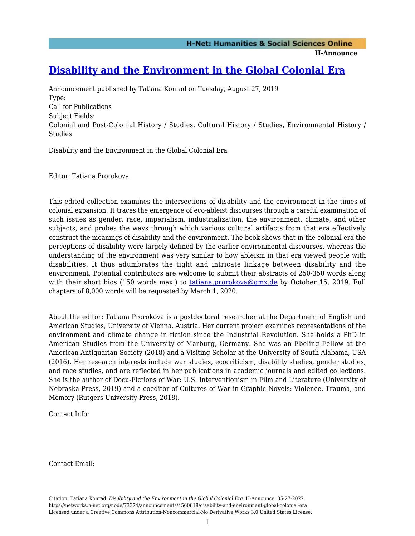**H-Announce** 

## **[Disability and the Environment in the Global Colonial Era](https://networks.h-net.org/node/73374/announcements/4560618/disability-and-environment-global-colonial-era)**

Announcement published by Tatiana Konrad on Tuesday, August 27, 2019 Type: Call for Publications Subject Fields: Colonial and Post-Colonial History / Studies, Cultural History / Studies, Environmental History / Studies

Disability and the Environment in the Global Colonial Era

Editor: Tatiana Prorokova

This edited collection examines the intersections of disability and the environment in the times of colonial expansion. It traces the emergence of eco-ableist discourses through a careful examination of such issues as gender, race, imperialism, industrialization, the environment, climate, and other subjects, and probes the ways through which various cultural artifacts from that era effectively construct the meanings of disability and the environment. The book shows that in the colonial era the perceptions of disability were largely defined by the earlier environmental discourses, whereas the understanding of the environment was very similar to how ableism in that era viewed people with disabilities. It thus adumbrates the tight and intricate linkage between disability and the environment. Potential contributors are welcome to submit their abstracts of 250-350 words along with their short bios (150 words max.) to [tatiana.prorokova@gmx.de](mailto:tatiana.prorokova@gmx.de) by October 15, 2019. Full chapters of 8,000 words will be requested by March 1, 2020.

About the editor: Tatiana Prorokova is a postdoctoral researcher at the Department of English and American Studies, University of Vienna, Austria. Her current project examines representations of the environment and climate change in fiction since the Industrial Revolution. She holds a PhD in American Studies from the University of Marburg, Germany. She was an Ebeling Fellow at the American Antiquarian Society (2018) and a Visiting Scholar at the University of South Alabama, USA (2016). Her research interests include war studies, ecocriticism, disability studies, gender studies, and race studies, and are reflected in her publications in academic journals and edited collections. She is the author of Docu-Fictions of War: U.S. Interventionism in Film and Literature (University of Nebraska Press, 2019) and a coeditor of Cultures of War in Graphic Novels: Violence, Trauma, and Memory (Rutgers University Press, 2018).

Contact Info:

Contact Email:

Citation: Tatiana Konrad. *Disability and the Environment in the Global Colonial Era*. H-Announce. 05-27-2022. https://networks.h-net.org/node/73374/announcements/4560618/disability-and-environment-global-colonial-era Licensed under a Creative Commons Attribution-Noncommercial-No Derivative Works 3.0 United States License.